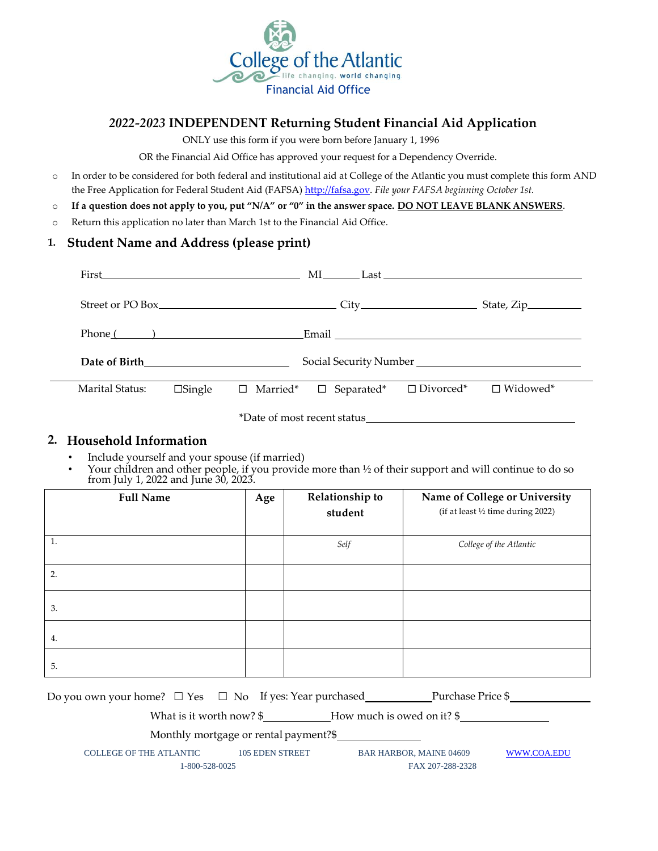

## *2022-2023* **INDEPENDENT Returning Student Financial Aid Application**

ONLY use this form if you were born before January 1, 1996

OR the Financial Aid Office has approved your request for a Dependency Override.

- o In order to be considered for both federal and institutional aid at College of the Atlantic you must complete this form AND the Free Application for Federal Student Aid (FAF[SA\)](http://www.fafsa.gov/) [http://fafsa.gov.](http://www.fafsa.gov/) *[File y](http://www.fafsa.gov/)our FAFSA beginning October 1st.*
- o **If a question does not apply to you, put "N/A" or "0" in the answer space. DO NOT LEAVE BLANK ANSWERS**.
- o Return this application no later than March 1st to the Financial Aid Office.

## **1. Student Name and Address (please print)**

| First the contract of the contract of the contract of the contract of the contract of the contract of the contract of the contract of the contract of the contract of the contract of the contract of the contract of the cont |                  |                             |                                   |                  |                 |
|--------------------------------------------------------------------------------------------------------------------------------------------------------------------------------------------------------------------------------|------------------|-----------------------------|-----------------------------------|------------------|-----------------|
|                                                                                                                                                                                                                                |                  |                             |                                   |                  |                 |
|                                                                                                                                                                                                                                | $Phone($ and $)$ |                             |                                   |                  |                 |
|                                                                                                                                                                                                                                |                  |                             |                                   |                  |                 |
| Marital Status:                                                                                                                                                                                                                | $\Box$ Single    |                             | $\Box$ Married* $\Box$ Separated* | $\Box$ Divorced* | $\Box$ Widowed* |
|                                                                                                                                                                                                                                |                  | *Date of most recent status |                                   |                  |                 |

## **2. Household Information**

- Include yourself and your spouse (if married)
- Your children and other people, if you provide more than ½ of their support and will continue to do so from July 1, 2022 and June 30, 2023.

| <b>Full Name</b> | Age | Relationship to<br>student | Name of College or University<br>(if at least 1/2 time during 2022) |
|------------------|-----|----------------------------|---------------------------------------------------------------------|
| 1.               |     | Self                       | College of the Atlantic                                             |
| 2.               |     |                            |                                                                     |
| 3.               |     |                            |                                                                     |
| 4.               |     |                            |                                                                     |
| 5.               |     |                            |                                                                     |

|                                                                              |  |  | Purchase Price \$                                  |             |
|------------------------------------------------------------------------------|--|--|----------------------------------------------------|-------------|
| How much is owed on it? $\frac{1}{2}$<br>What is it worth now? $\frac{1}{2}$ |  |  |                                                    |             |
| Monthly mortgage or rental payment?\$                                        |  |  |                                                    |             |
| <b>COLLEGE OF THE ATLANTIC</b><br><b>105 EDEN STREET</b><br>1-800-528-0025   |  |  | <b>BAR HARBOR, MAINE 04609</b><br>FAX 207-288-2328 | WWW.COA.EDU |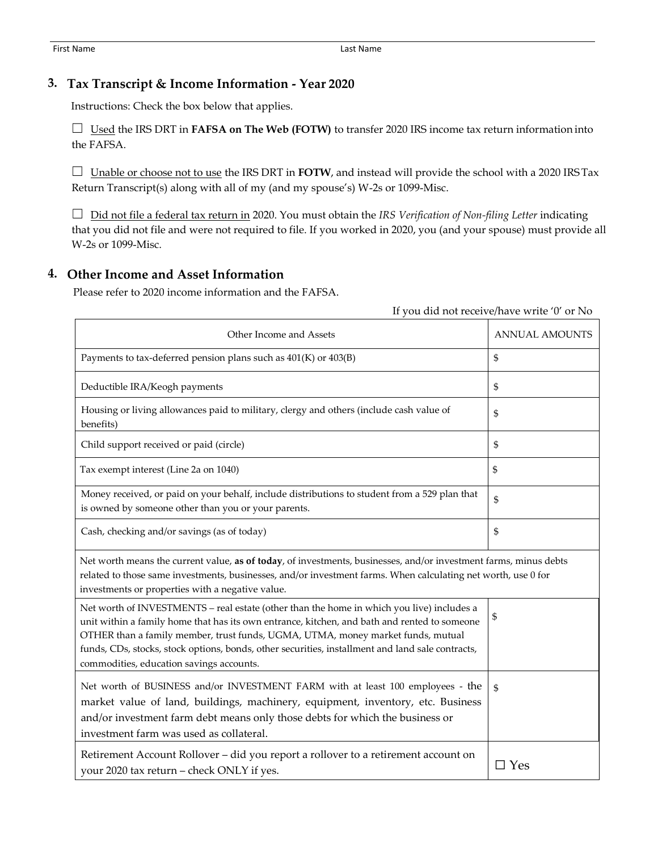## **3. Tax Transcript & Income Information - Year 2020**

Instructions: Check the box below that applies.

☐ Used the IRS DRT in **FAFSA on The Web (FOTW)** to transfer 2020 IRS income tax return information into the FAFSA.

 $\Box$  Unable or choose not to use the IRS DRT in **FOTW**, and instead will provide the school with a 2020 IRS Tax Return Transcript(s) along with all of my (and my spouse's) W-2s or 1099-Misc.

☐ Did not file a federal tax return in 2020. You must obtain the *IRS Verification of Non-filing Letter* indicating that you did not file and were not required to file. If you worked in 2020, you (and your spouse) must provide all W-2s or 1099-Misc.

If you did not receive/have write '0' or No

## **4. Other Income and Asset Information**

Please refer to 2020 income information and the FAFSA.

| Other Income and Assets                                                                                                                                                                                                                                                                                                                                                                                                      | <b>ANNUAL AMOUNTS</b> |  |  |
|------------------------------------------------------------------------------------------------------------------------------------------------------------------------------------------------------------------------------------------------------------------------------------------------------------------------------------------------------------------------------------------------------------------------------|-----------------------|--|--|
| Payments to tax-deferred pension plans such as 401(K) or 403(B)                                                                                                                                                                                                                                                                                                                                                              | \$                    |  |  |
| Deductible IRA/Keogh payments                                                                                                                                                                                                                                                                                                                                                                                                | \$                    |  |  |
| Housing or living allowances paid to military, clergy and others (include cash value of<br>benefits)                                                                                                                                                                                                                                                                                                                         | \$                    |  |  |
| Child support received or paid (circle)                                                                                                                                                                                                                                                                                                                                                                                      | \$                    |  |  |
| Tax exempt interest (Line 2a on 1040)                                                                                                                                                                                                                                                                                                                                                                                        | \$                    |  |  |
| Money received, or paid on your behalf, include distributions to student from a 529 plan that<br>is owned by someone other than you or your parents.                                                                                                                                                                                                                                                                         | \$                    |  |  |
| Cash, checking and/or savings (as of today)                                                                                                                                                                                                                                                                                                                                                                                  | \$                    |  |  |
| Net worth means the current value, as of today, of investments, businesses, and/or investment farms, minus debts<br>related to those same investments, businesses, and/or investment farms. When calculating net worth, use 0 for<br>investments or properties with a negative value.                                                                                                                                        |                       |  |  |
| Net worth of INVESTMENTS - real estate (other than the home in which you live) includes a<br>unit within a family home that has its own entrance, kitchen, and bath and rented to someone<br>OTHER than a family member, trust funds, UGMA, UTMA, money market funds, mutual<br>funds, CDs, stocks, stock options, bonds, other securities, installment and land sale contracts,<br>commodities, education savings accounts. | \$                    |  |  |
| Net worth of BUSINESS and/or INVESTMENT FARM with at least 100 employees - the<br>market value of land, buildings, machinery, equipment, inventory, etc. Business<br>and/or investment farm debt means only those debts for which the business or<br>investment farm was used as collateral.                                                                                                                                 | \$                    |  |  |
| Retirement Account Rollover – did you report a rollover to a retirement account on<br>your 2020 tax return - check ONLY if yes.                                                                                                                                                                                                                                                                                              | $\Box$ Yes            |  |  |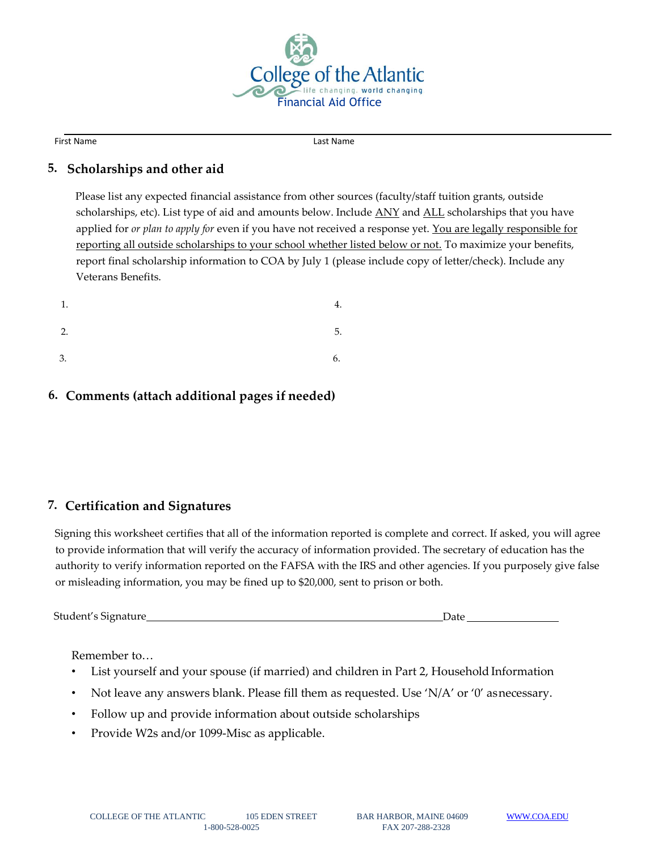

First Name Last Name Last Name

## **5. Scholarships and other aid**

Please list any expected financial assistance from other sources (faculty/staff tuition grants, outside scholarships, etc). List type of aid and amounts below. Include **ANY** and **ALL** scholarships that you have applied for *or plan to apply for* even if you have not received a response yet. You are legally responsible for reporting all outside scholarships to your school whether listed below or not. To maximize your benefits, report final scholarship information to COA by July 1 (please include copy of letter/check). Include any Veterans Benefits.

| 1. | 4. |
|----|----|
| 2. | 5. |
| 3. | 6. |

# **6. Comments (attach additional pages if needed)**

# **7. Certification and Signatures**

Signing this worksheet certifies that all of the information reported is complete and correct. If asked, you will agree to provide information that will verify the accuracy of information provided. The secretary of education has the authority to verify information reported on the FAFSA with the IRS and other agencies. If you purposely give false or misleading information, you may be fined up to \$20,000, sent to prison or both.

Student's Signature Date

Remember to…

- List yourself and your spouse (if married) and children in Part 2, Household Information
- Not leave any answers blank. Please fill them as requested. Use 'N/A' or '0' asnecessary.
- Follow up and provide information about outside scholarships
- Provide W2s and/or 1099-Misc as applicable.